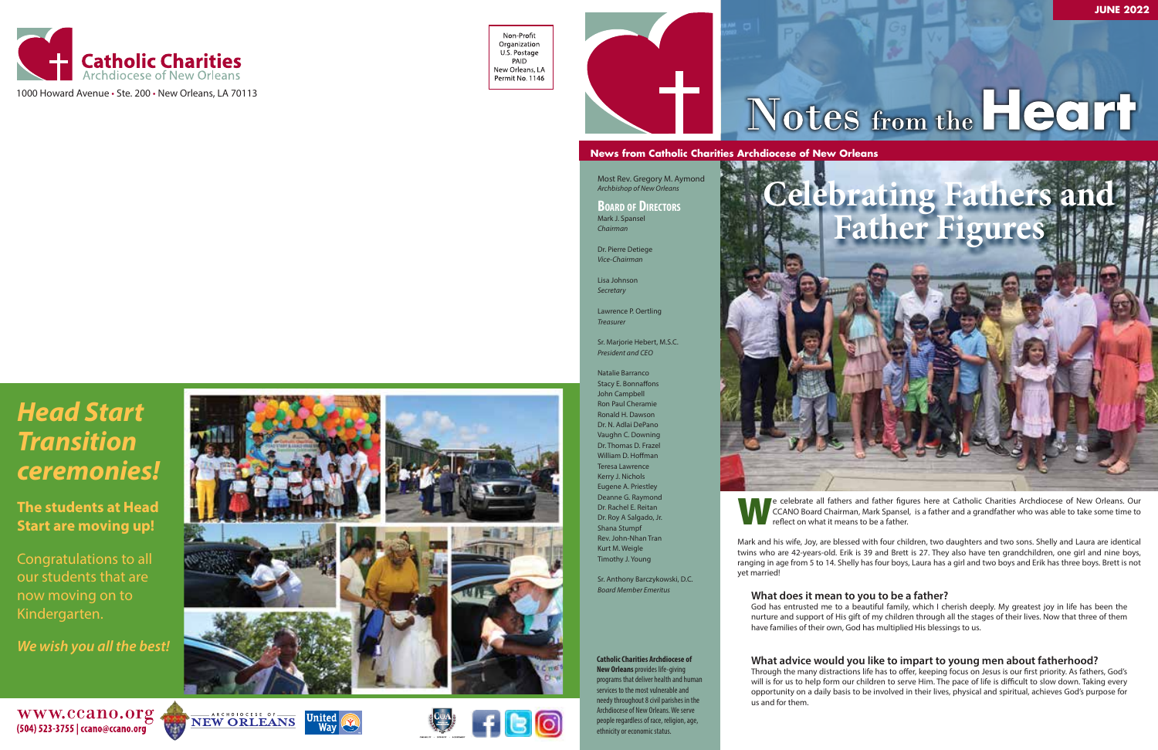

1000 Howard Avenue · Ste. 200 · New Orleans, LA 70113

Non-Profit Organization U.S. Postage PAID New Orleans, LA Permit No. 1146



**Catholic Charities Archdiocese of New Orleans** provides life-giving programs that deliver health and human services to the most vulnerable and needy throughout 8 civil parishes in the Archdiocese of New Orleans. We serve people regardless of race, religion, age, ethnicity or economic status.

Most Rev. Gregory M. Aymond *Archbishop of New Orleans*

**Board of Directors** Mark J. Spansel *Chairman*

Dr. Pierre Detiege *Vice-Chairman*

Lisa Johnson *Secretary*

Lawrence P. Oertling *Treasurer*

Sr. Marjorie Hebert, M.S.C. *President and CEO*

> e celebrate all fathers and father figures here at Catholic Charities Archdiocese of New Orleans. Our CCANO Board Chairman, Mark Spansel, is a father and a grandfather who was able to take some time to reflect on what it m CCANO Board Chairman, Mark Spansel, is a father and a grandfather who was able to take some time to reflect on what it means to be a father.

Natalie Barranco Stacy E. Bonnaffons John Campbell Ron Paul Cheramie Ronald H. Dawson Dr. N. Adlai DePano Vaughn C. Downing Dr. Thomas D. Frazel William D. Hoffman Teresa Lawrence Kerry J. Nichols Eugene A. Priestley Deanne G. Raymond Dr. Rachel E. Reitan Dr. Roy A Salgado, Jr. Shana Stumpf Rev. John-Nhan Tran Kurt M. Weigle Timothy J. Young

Sr. Anthony Barczykowski, D.C. *Board Member Emeritus*

### **News from Catholic Charities Archdiocese of New Orleans**

# Notes from the Heart



Mark and his wife, Joy, are blessed with four children, two daughters and two sons. Shelly and Laura are identical twins who are 42-years-old. Erik is 39 and Brett is 27. They also have ten grandchildren, one girl and nine boys, ranging in age from 5 to 14. Shelly has four boys, Laura has a girl and two boys and Erik has three boys. Brett is not yet married!

**What does it mean to you to be a father?**  God has entrusted me to a beautiful family, which I cherish deeply. My greatest joy in life has been the nurture and support of His gift of my children through all the stages of their lives. Now that three of them have families of their own, God has multiplied His blessings to us.

### **What advice would you like to impart to young men about fatherhood?**

Through the many distractions life has to offer, keeping focus on Jesus is our first priority. As fathers, God's will is for us to help form our children to serve Him. The pace of life is difficult to slow down. Taking every opportunity on a daily basis to be involved in their lives, physical and spiritual, achieves God's purpose for

us and for them.

# *Head Start Transition ceremonies!*

### **The students at Head Start are moving up!**

Congratulations to all our students that are now moving on to Kindergarten.

*We wish you all the best!*